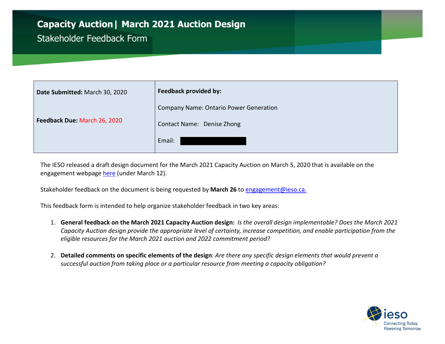## Capacity Auction| March 2021 Auction Design

## Stakeholder Feedback Form

| Date Submitted: March 30, 2020 | <b>Feedback provided by:</b>                  |
|--------------------------------|-----------------------------------------------|
|                                | <b>Company Name: Ontario Power Generation</b> |
| Feedback Due: March 26, 2020   | Contact Name: Denise Zhong                    |
|                                | Email:                                        |

 The IESO released a draft design document for the March 2021 Capacity Auction on March 5, 2020 that is available on the engagement webpage here (under March 12).

Stakeholder feedback on the document is being requested by March 26 to [engagement@ieso.ca](mailto:engagement@ieso.ca).

This feedback form is intended to help organize stakeholder feedback in two key areas:

- 1. General feedback on the March 2021 Capacity Auction design: Is the overall design implementable? Does the March 2021 eligible resources for the March 2021 auction and 2022 commitment period? Capacity Auction design provide the appropriate level of certainty, increase competition, and enable participation from the
- 2. Detailed comments on specific elements of the design: Are there any specific design elements that would prevent a successful auction from taking place or a particular resource from meeting a capacity obligation?

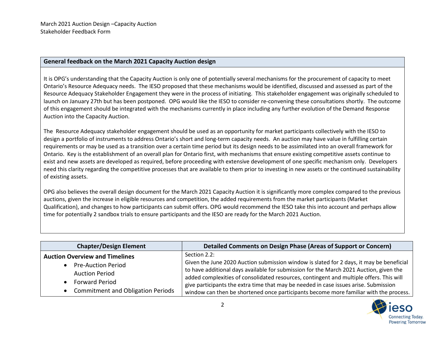## General feedback on the March 2021 Capacity Auction design

 It is OPG's understanding that the Capacity Auction is only one of potentially several mechanisms for the procurement of capacity to meet Ontario's Resource Adequacy needs. The IESO proposed that these mechanisms would be identified, discussed and assessed as part of the Resource Adequacy Stakeholder Engagement they were in the process of initiating. This stakeholder engagement was originally scheduled to launch on January 27th but has been postponed. OPG would like the IESO to consider re-convening these consultations shortly. The outcome of this engagement should be integrated with the mechanisms currently in place including any further evolution of the Demand Response Auction into the Capacity Auction.

 The Resource Adequacy stakeholder engagement should be used as an opportunity for market participants collectively with the IESO to design a portfolio of instruments to address Ontario's short and long-term capacity needs. An auction may have value in fulfilling certain requirements or may be used as a transition over a certain time period but its design needs to be assimilated into an overall framework for Ontario. Key is the establishment of an overall plan for Ontario first, with mechanisms that ensure existing competitive assets continue to exist and new assets are developed as required, before proceeding with extensive development of one specific mechanism only. Developers need this clarity regarding the competitive processes that are available to them prior to investing in new assets or the continued sustainability of existing assets.

 OPG also believes the overall design document for the March 2021 Capacity Auction it is significantly more complex compared to the previous auctions, given the increase in eligible resources and competition, the added requirements from the market participants (Market Qualification), and changes to how participants can submit offers. OPG would recommend the IESO take this into account and perhaps allow time for potentially 2 sandbox trials to ensure participants and the IESO are ready for the March 2021 Auction.

| <b>Chapter/Design Element</b>                                                                                                                                    | Detailed Comments on Design Phase (Areas of Support or Concern)                                                                                                                                                                                                                                                                                                                                                                                                                |
|------------------------------------------------------------------------------------------------------------------------------------------------------------------|--------------------------------------------------------------------------------------------------------------------------------------------------------------------------------------------------------------------------------------------------------------------------------------------------------------------------------------------------------------------------------------------------------------------------------------------------------------------------------|
| <b>Auction Overview and Timelines</b><br><b>Pre-Auction Period</b><br><b>Auction Period</b><br><b>Forward Period</b><br><b>Commitment and Obligation Periods</b> | Section 2.2:<br>Given the June 2020 Auction submission window is slated for 2 days, it may be beneficial<br>to have additional days available for submission for the March 2021 Auction, given the<br>added complexities of consolidated resources, contingent and multiple offers. This will<br>give participants the extra time that may be needed in case issues arise. Submission<br>window can then be shortened once participants become more familiar with the process. |

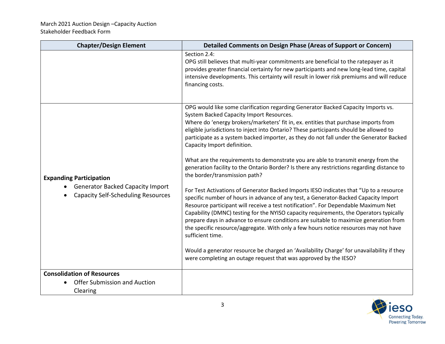| <b>Chapter/Design Element</b>                                                                                          | <b>Detailed Comments on Design Phase (Areas of Support or Concern)</b>                                                                                                                                                                                                                                                                                                                                                                                                                                                                                                                                                                                                                                                                                                                                                                                                                                                                                                                                                                                                                                                                                                                                                                                                                                                                                                                              |
|------------------------------------------------------------------------------------------------------------------------|-----------------------------------------------------------------------------------------------------------------------------------------------------------------------------------------------------------------------------------------------------------------------------------------------------------------------------------------------------------------------------------------------------------------------------------------------------------------------------------------------------------------------------------------------------------------------------------------------------------------------------------------------------------------------------------------------------------------------------------------------------------------------------------------------------------------------------------------------------------------------------------------------------------------------------------------------------------------------------------------------------------------------------------------------------------------------------------------------------------------------------------------------------------------------------------------------------------------------------------------------------------------------------------------------------------------------------------------------------------------------------------------------------|
|                                                                                                                        | Section 2.4:<br>OPG still believes that multi-year commitments are beneficial to the ratepayer as it<br>provides greater financial certainty for new participants and new long-lead time, capital<br>intensive developments. This certainty will result in lower risk premiums and will reduce<br>financing costs.                                                                                                                                                                                                                                                                                                                                                                                                                                                                                                                                                                                                                                                                                                                                                                                                                                                                                                                                                                                                                                                                                  |
| <b>Expanding Participation</b><br><b>Generator Backed Capacity Import</b><br><b>Capacity Self-Scheduling Resources</b> | OPG would like some clarification regarding Generator Backed Capacity Imports vs.<br>System Backed Capacity Import Resources.<br>Where do 'energy brokers/marketers' fit in, ex. entities that purchase imports from<br>eligible jurisdictions to inject into Ontario? These participants should be allowed to<br>participate as a system backed importer, as they do not fall under the Generator Backed<br>Capacity Import definition.<br>What are the requirements to demonstrate you are able to transmit energy from the<br>generation facility to the Ontario Border? Is there any restrictions regarding distance to<br>the border/transmission path?<br>For Test Activations of Generator Backed Imports IESO indicates that "Up to a resource<br>specific number of hours in advance of any test, a Generator-Backed Capacity Import<br>Resource participant will receive a test notification". For Dependable Maximum Net<br>Capability (DMNC) testing for the NYISO capacity requirements, the Operators typically<br>prepare days in advance to ensure conditions are suitable to maximize generation from<br>the specific resource/aggregate. With only a few hours notice resources may not have<br>sufficient time.<br>Would a generator resource be charged an 'Availability Charge' for unavailability if they<br>were completing an outage request that was approved by the IESO? |
| <b>Consolidation of Resources</b>                                                                                      |                                                                                                                                                                                                                                                                                                                                                                                                                                                                                                                                                                                                                                                                                                                                                                                                                                                                                                                                                                                                                                                                                                                                                                                                                                                                                                                                                                                                     |
| <b>Offer Submission and Auction</b><br>Clearing                                                                        |                                                                                                                                                                                                                                                                                                                                                                                                                                                                                                                                                                                                                                                                                                                                                                                                                                                                                                                                                                                                                                                                                                                                                                                                                                                                                                                                                                                                     |

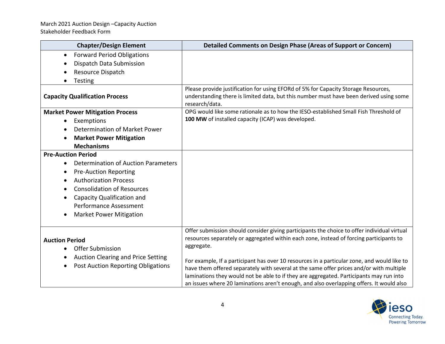| <b>Chapter/Design Element</b>                                                   | <b>Detailed Comments on Design Phase (Areas of Support or Concern)</b>                                                                                                                                                                                                                                                                                                        |
|---------------------------------------------------------------------------------|-------------------------------------------------------------------------------------------------------------------------------------------------------------------------------------------------------------------------------------------------------------------------------------------------------------------------------------------------------------------------------|
| <b>Forward Period Obligations</b><br>$\bullet$<br>Dispatch Data Submission      |                                                                                                                                                                                                                                                                                                                                                                               |
| Resource Dispatch<br><b>Testing</b>                                             |                                                                                                                                                                                                                                                                                                                                                                               |
| <b>Capacity Qualification Process</b>                                           | Please provide justification for using EFORd of 5% for Capacity Storage Resources,<br>understanding there is limited data, but this number must have been derived using some<br>research/data.                                                                                                                                                                                |
| <b>Market Power Mitigation Process</b>                                          | OPG would like some rationale as to how the IESO-established Small Fish Threshold of                                                                                                                                                                                                                                                                                          |
| Exemptions                                                                      | 100 MW of installed capacity (ICAP) was developed.                                                                                                                                                                                                                                                                                                                            |
| Determination of Market Power                                                   |                                                                                                                                                                                                                                                                                                                                                                               |
| <b>Market Power Mitigation</b>                                                  |                                                                                                                                                                                                                                                                                                                                                                               |
| <b>Mechanisms</b>                                                               |                                                                                                                                                                                                                                                                                                                                                                               |
| <b>Pre-Auction Period</b>                                                       |                                                                                                                                                                                                                                                                                                                                                                               |
| Determination of Auction Parameters<br>$\bullet$                                |                                                                                                                                                                                                                                                                                                                                                                               |
| <b>Pre-Auction Reporting</b>                                                    |                                                                                                                                                                                                                                                                                                                                                                               |
| <b>Authorization Process</b>                                                    |                                                                                                                                                                                                                                                                                                                                                                               |
| <b>Consolidation of Resources</b>                                               |                                                                                                                                                                                                                                                                                                                                                                               |
| Capacity Qualification and                                                      |                                                                                                                                                                                                                                                                                                                                                                               |
| <b>Performance Assessment</b>                                                   |                                                                                                                                                                                                                                                                                                                                                                               |
| <b>Market Power Mitigation</b><br>$\bullet$                                     |                                                                                                                                                                                                                                                                                                                                                                               |
| <b>Auction Period</b><br><b>Offer Submission</b>                                | Offer submission should consider giving participants the choice to offer individual virtual<br>resources separately or aggregated within each zone, instead of forcing participants to<br>aggregate.                                                                                                                                                                          |
| Auction Clearing and Price Setting<br><b>Post Auction Reporting Obligations</b> | For example, If a participant has over 10 resources in a particular zone, and would like to<br>have them offered separately with several at the same offer prices and/or with multiple<br>laminations they would not be able to if they are aggregated. Participants may run into<br>an issues where 20 laminations aren't enough, and also overlapping offers. It would also |